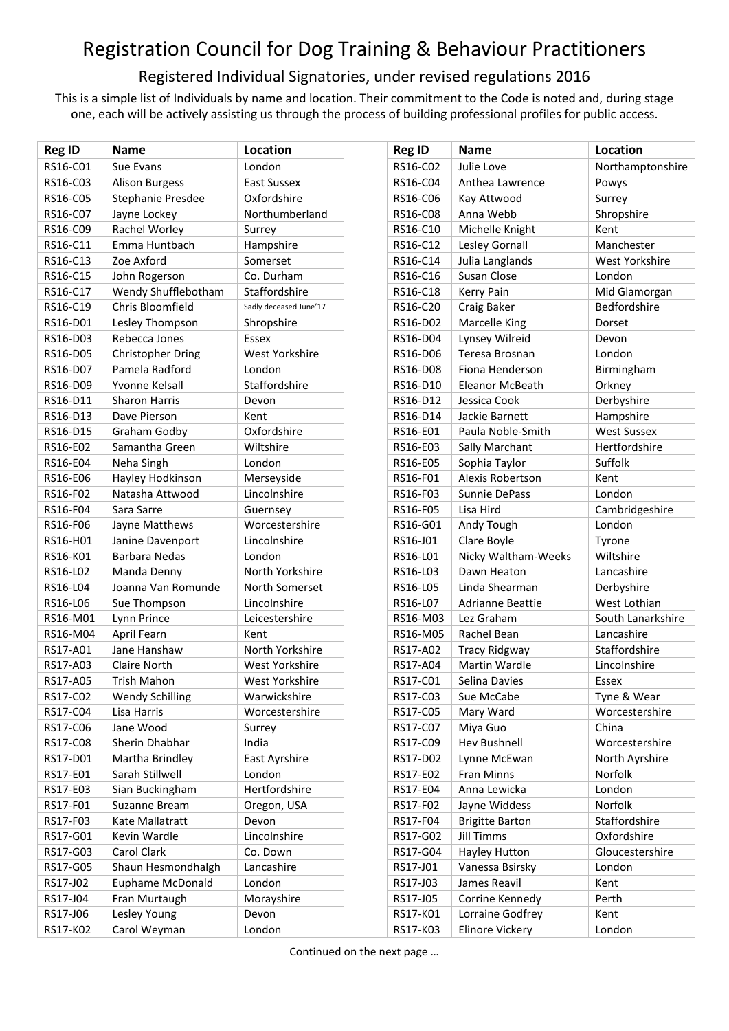## Registration Council for Dog Training & Behaviour Practitioners

## Registered Individual Signatories, under revised regulations 2016

This is a simple list of Individuals by name and location. Their commitment to the Code is noted and, during stage one, each will be actively assisting us through the process of building professional profiles for public access.

| <b>Reg ID</b> | <b>Name</b>             | Location               | <b>Reg ID</b> | <b>Name</b>             | Location           |
|---------------|-------------------------|------------------------|---------------|-------------------------|--------------------|
| RS16-C01      | Sue Evans               | London                 | RS16-C02      | Julie Love              | Northamptonshire   |
| RS16-C03      | <b>Alison Burgess</b>   | <b>East Sussex</b>     | RS16-C04      | Anthea Lawrence         | Powys              |
| RS16-C05      | Stephanie Presdee       | Oxfordshire            | RS16-C06      | Kay Attwood             | Surrey             |
| RS16-C07      | Jayne Lockey            | Northumberland         | RS16-C08      | Anna Webb               | Shropshire         |
| RS16-C09      | Rachel Worley           | Surrey                 | RS16-C10      | Michelle Knight         | Kent               |
| RS16-C11      | Emma Huntbach           | Hampshire              | RS16-C12      | Lesley Gornall          | Manchester         |
| RS16-C13      | Zoe Axford              | Somerset               | RS16-C14      | Julia Langlands         | West Yorkshire     |
| RS16-C15      | John Rogerson           | Co. Durham             | RS16-C16      | Susan Close             | London             |
| RS16-C17      | Wendy Shufflebotham     | Staffordshire          | RS16-C18      | Kerry Pain              | Mid Glamorgan      |
| RS16-C19      | Chris Bloomfield        | Sadly deceased June'17 | RS16-C20      | Craig Baker             | Bedfordshire       |
| RS16-D01      | Lesley Thompson         | Shropshire             | RS16-D02      | Marcelle King           | Dorset             |
| RS16-D03      | Rebecca Jones           | Essex                  | RS16-D04      | Lynsey Wilreid          | Devon              |
| RS16-D05      | Christopher Dring       | West Yorkshire         | RS16-D06      | Teresa Brosnan          | London             |
| RS16-D07      | Pamela Radford          | London                 | RS16-D08      | Fiona Henderson         | Birmingham         |
| RS16-D09      | Yvonne Kelsall          | Staffordshire          | RS16-D10      | Eleanor McBeath         | Orkney             |
| RS16-D11      | <b>Sharon Harris</b>    | Devon                  | RS16-D12      | Jessica Cook            | Derbyshire         |
| RS16-D13      | Dave Pierson            | Kent                   | RS16-D14      | Jackie Barnett          | Hampshire          |
| RS16-D15      | Graham Godby            | Oxfordshire            | RS16-E01      | Paula Noble-Smith       | <b>West Sussex</b> |
| RS16-E02      | Samantha Green          | Wiltshire              | RS16-E03      | Sally Marchant          | Hertfordshire      |
| RS16-E04      | Neha Singh              | London                 | RS16-E05      | Sophia Taylor           | Suffolk            |
| RS16-E06      | Hayley Hodkinson        | Merseyside             | RS16-F01      | <b>Alexis Robertson</b> | Kent               |
| RS16-F02      | Natasha Attwood         | Lincolnshire           | RS16-F03      | Sunnie DePass           | London             |
| RS16-F04      | Sara Sarre              | Guernsey               | RS16-F05      | Lisa Hird               | Cambridgeshire     |
| RS16-F06      | Jayne Matthews          | Worcestershire         | RS16-G01      | Andy Tough              | London             |
| RS16-H01      | Janine Davenport        | Lincolnshire           | RS16-J01      | Clare Boyle             | Tyrone             |
| RS16-K01      | <b>Barbara Nedas</b>    | London                 | RS16-L01      | Nicky Waltham-Weeks     | Wiltshire          |
| RS16-L02      | Manda Denny             | North Yorkshire        | RS16-L03      | Dawn Heaton             | Lancashire         |
| RS16-L04      | Joanna Van Romunde      | North Somerset         | RS16-L05      | Linda Shearman          | Derbyshire         |
| RS16-L06      | Sue Thompson            | Lincolnshire           | RS16-L07      | <b>Adrianne Beattie</b> | West Lothian       |
| RS16-M01      | Lynn Prince             | Leicestershire         | RS16-M03      | Lez Graham              | South Lanarkshire  |
| RS16-M04      | April Fearn             | Kent                   | RS16-M05      | Rachel Bean             | Lancashire         |
| RS17-A01      | Jane Hanshaw            | North Yorkshire        | RS17-A02      | <b>Tracy Ridgway</b>    | Staffordshire      |
| RS17-A03      | Claire North            | West Yorkshire         | RS17-A04      | <b>Martin Wardle</b>    | Lincolnshire       |
| RS17-A05      | <b>Trish Mahon</b>      | West Yorkshire         | RS17-C01      | Selina Davies           | Essex              |
| RS17-C02      | <b>Wendy Schilling</b>  | Warwickshire           | RS17-C03      | Sue McCabe              | Tyne & Wear        |
| RS17-C04      | Lisa Harris             | Worcestershire         | RS17-C05      | Mary Ward               | Worcestershire     |
| RS17-C06      | Jane Wood               | Surrey                 | RS17-C07      | Miya Guo                | China              |
| RS17-C08      | Sherin Dhabhar          | India                  | RS17-C09      | Hev Bushnell            | Worcestershire     |
| RS17-D01      | Martha Brindley         | East Ayrshire          | RS17-D02      | Lynne McEwan            | North Ayrshire     |
| RS17-E01      | Sarah Stillwell         | London                 | RS17-E02      | Fran Minns              | Norfolk            |
| RS17-E03      | Sian Buckingham         | Hertfordshire          | RS17-E04      | Anna Lewicka            | London             |
| RS17-F01      | Suzanne Bream           | Oregon, USA            | RS17-F02      | Jayne Widdess           | Norfolk            |
| RS17-F03      | Kate Mallatratt         | Devon                  | RS17-F04      | <b>Brigitte Barton</b>  | Staffordshire      |
| RS17-G01      | Kevin Wardle            | Lincolnshire           | RS17-G02      | <b>Jill Timms</b>       | Oxfordshire        |
| RS17-G03      | Carol Clark             | Co. Down               | RS17-G04      | Hayley Hutton           | Gloucestershire    |
| RS17-G05      | Shaun Hesmondhalgh      | Lancashire             | RS17-J01      | Vanessa Bsirsky         | London             |
| RS17-J02      | <b>Euphame McDonald</b> | London                 | RS17-J03      | James Reavil            | Kent               |
| RS17-J04      | Fran Murtaugh           | Morayshire             | RS17-J05      | Corrine Kennedy         | Perth              |
| RS17-J06      | Lesley Young            | Devon                  | RS17-K01      | Lorraine Godfrey        | Kent               |
| RS17-K02      | Carol Weyman            | London                 | RS17-K03      | Elinore Vickery         | London             |

Continued on the next page …